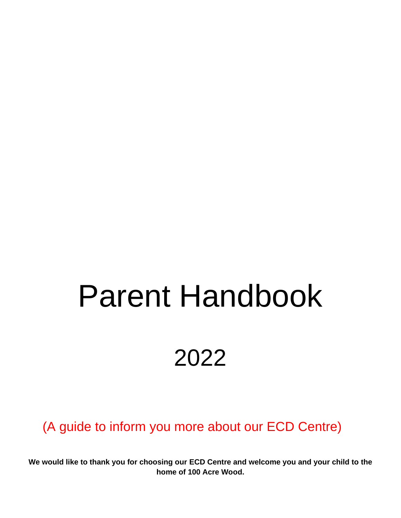# Parent Handbook 2022

(A guide to inform you more about our ECD Centre)

**We would like to thank you for choosing our ECD Centre and welcome you and your child to the home of 100 Acre Wood.**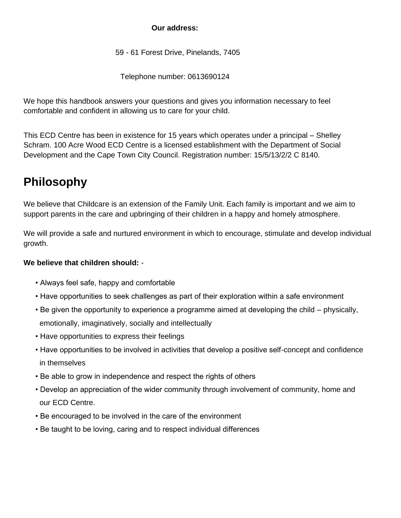#### **Our address:**

59 - 61 Forest Drive, Pinelands, 7405

Telephone number: 0613690124

We hope this handbook answers your questions and gives you information necessary to feel comfortable and confident in allowing us to care for your child.

This ECD Centre has been in existence for 15 years which operates under a principal – Shelley Schram. 100 Acre Wood ECD Centre is a licensed establishment with the Department of Social Development and the Cape Town City Council. Registration number: 15/5/13/2/2 C 8140.

# **Philosophy**

We believe that Childcare is an extension of the Family Unit. Each family is important and we aim to support parents in the care and upbringing of their children in a happy and homely atmosphere.

We will provide a safe and nurtured environment in which to encourage, stimulate and develop individual growth.

#### **We believe that children should:** -

- Always feel safe, happy and comfortable
- Have opportunities to seek challenges as part of their exploration within a safe environment
- Be given the opportunity to experience a programme aimed at developing the child physically, emotionally, imaginatively, socially and intellectually
- Have opportunities to express their feelings
- Have opportunities to be involved in activities that develop a positive self-concept and confidence in themselves
- Be able to grow in independence and respect the rights of others
- Develop an appreciation of the wider community through involvement of community, home and our ECD Centre.
- Be encouraged to be involved in the care of the environment
- Be taught to be loving, caring and to respect individual differences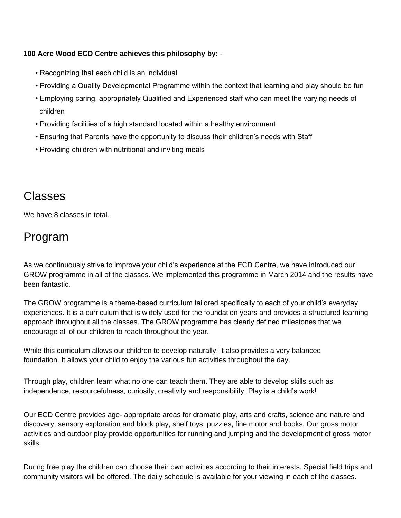#### **100 Acre Wood ECD Centre achieves this philosophy by:** -

- Recognizing that each child is an individual
- Providing a Quality Developmental Programme within the context that learning and play should be fun
- Employing caring, appropriately Qualified and Experienced staff who can meet the varying needs of children
- Providing facilities of a high standard located within a healthy environment
- Ensuring that Parents have the opportunity to discuss their children's needs with Staff
- Providing children with nutritional and inviting meals

#### Classes

We have 8 classes in total.

## Program

As we continuously strive to improve your child's experience at the ECD Centre, we have introduced our GROW programme in all of the classes. We implemented this programme in March 2014 and the results have been fantastic.

The GROW programme is a theme-based curriculum tailored specifically to each of your child's everyday experiences. It is a curriculum that is widely used for the foundation years and provides a structured learning approach throughout all the classes. The GROW programme has clearly defined milestones that we encourage all of our children to reach throughout the year.

While this curriculum allows our children to develop naturally, it also provides a very balanced foundation. It allows your child to enjoy the various fun activities throughout the day.

Through play, children learn what no one can teach them. They are able to develop skills such as independence, resourcefulness, curiosity, creativity and responsibility. Play is a child's work!

Our ECD Centre provides age- appropriate areas for dramatic play, arts and crafts, science and nature and discovery, sensory exploration and block play, shelf toys, puzzles, fine motor and books. Our gross motor activities and outdoor play provide opportunities for running and jumping and the development of gross motor skills.

During free play the children can choose their own activities according to their interests. Special field trips and community visitors will be offered. The daily schedule is available for your viewing in each of the classes.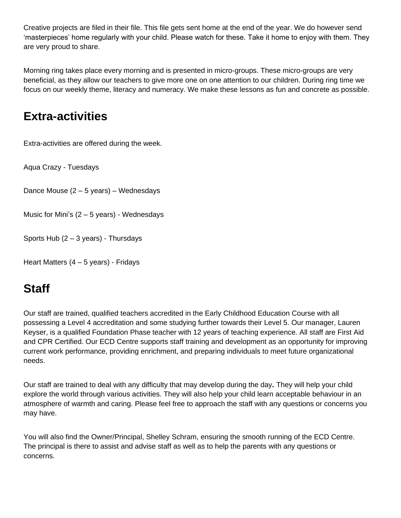Creative projects are filed in their file. This file gets sent home at the end of the year. We do however send 'masterpieces' home regularly with your child. Please watch for these. Take it home to enjoy with them. They are very proud to share.

Morning ring takes place every morning and is presented in micro-groups. These micro-groups are very beneficial, as they allow our teachers to give more one on one attention to our children. During ring time we focus on our weekly theme, literacy and numeracy. We make these lessons as fun and concrete as possible.

## **Extra-activities**

Extra-activities are offered during the week.

Aqua Crazy - Tuesdays

Dance Mouse (2 – 5 years) – Wednesdays

Music for Mini's  $(2 – 5$  years) - Wednesdays

Sports Hub  $(2 - 3 \text{ years})$  - Thursdays

Heart Matters (4 – 5 years) - Fridays

# **Staff**

Our staff are trained, qualified teachers accredited in the Early Childhood Education Course with all possessing a Level 4 accreditation and some studying further towards their Level 5. Our manager, Lauren Keyser, is a qualified Foundation Phase teacher with 12 years of teaching experience. All staff are First Aid and CPR Certified. Our ECD Centre supports staff training and development as an opportunity for improving current work performance, providing enrichment, and preparing individuals to meet future organizational needs.

Our staff are trained to deal with any difficulty that may develop during the day*.* They will help your child explore the world through various activities. They will also help your child learn acceptable behaviour in an atmosphere of warmth and caring. Please feel free to approach the staff with any questions or concerns you may have.

You will also find the Owner/Principal, Shelley Schram, ensuring the smooth running of the ECD Centre. The principal is there to assist and advise staff as well as to help the parents with any questions or concerns.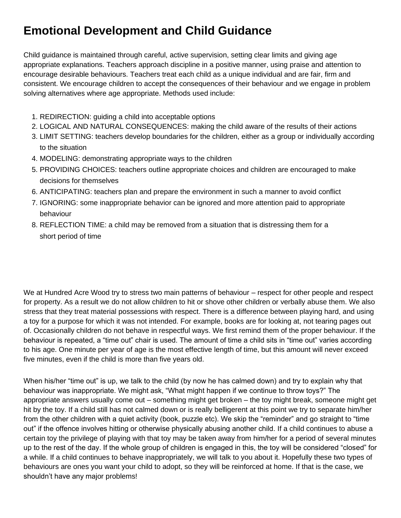# **Emotional Development and Child Guidance**

Child guidance is maintained through careful, active supervision, setting clear limits and giving age appropriate explanations. Teachers approach discipline in a positive manner, using praise and attention to encourage desirable behaviours. Teachers treat each child as a unique individual and are fair, firm and consistent. We encourage children to accept the consequences of their behaviour and we engage in problem solving alternatives where age appropriate. Methods used include:

- 1. REDIRECTION: guiding a child into acceptable options
- 2. LOGICAL AND NATURAL CONSEQUENCES: making the child aware of the results of their actions
- 3. LIMIT SETTING: teachers develop boundaries for the children, either as a group or individually according to the situation
- 4. MODELING: demonstrating appropriate ways to the children
- 5. PROVIDING CHOICES: teachers outline appropriate choices and children are encouraged to make decisions for themselves
- 6. ANTICIPATING: teachers plan and prepare the environment in such a manner to avoid conflict
- 7. IGNORING: some inappropriate behavior can be ignored and more attention paid to appropriate behaviour
- 8. REFLECTION TIME: a child may be removed from a situation that is distressing them for a short period of time

We at Hundred Acre Wood try to stress two main patterns of behaviour – respect for other people and respect for property. As a result we do not allow children to hit or shove other children or verbally abuse them. We also stress that they treat material possessions with respect. There is a difference between playing hard, and using a toy for a purpose for which it was not intended. For example, books are for looking at, not tearing pages out of. Occasionally children do not behave in respectful ways. We first remind them of the proper behaviour. If the behaviour is repeated, a "time out" chair is used. The amount of time a child sits in "time out" varies according to his age. One minute per year of age is the most effective length of time, but this amount will never exceed five minutes, even if the child is more than five years old.

When his/her "time out" is up, we talk to the child (by now he has calmed down) and try to explain why that behaviour was inappropriate. We might ask, "What might happen if we continue to throw toys?" The appropriate answers usually come out – something might get broken – the toy might break, someone might get hit by the toy. If a child still has not calmed down or is really belligerent at this point we try to separate him/her from the other children with a quiet activity (book, puzzle etc). We skip the "reminder" and go straight to "time out" if the offence involves hitting or otherwise physically abusing another child. If a child continues to abuse a certain toy the privilege of playing with that toy may be taken away from him/her for a period of several minutes up to the rest of the day. If the whole group of children is engaged in this, the toy will be considered "closed" for a while. If a child continues to behave inappropriately, we will talk to you about it. Hopefully these two types of behaviours are ones you want your child to adopt, so they will be reinforced at home. If that is the case, we shouldn't have any major problems!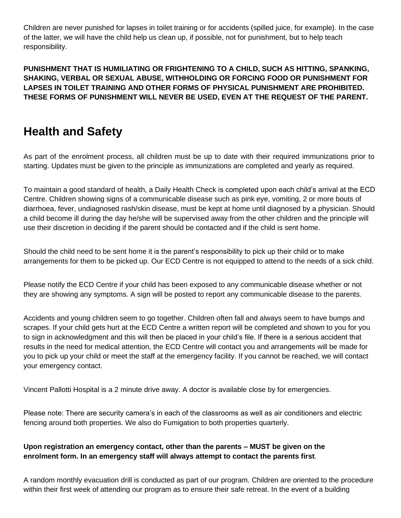Children are never punished for lapses in toilet training or for accidents (spilled juice, for example). In the case of the latter, we will have the child help us clean up, if possible, not for punishment, but to help teach responsibility.

**PUNISHMENT THAT IS HUMILIATING OR FRIGHTENING TO A CHILD, SUCH AS HITTING, SPANKING, SHAKING, VERBAL OR SEXUAL ABUSE, WITHHOLDING OR FORCING FOOD OR PUNISHMENT FOR LAPSES IN TOILET TRAINING AND OTHER FORMS OF PHYSICAL PUNISHMENT ARE PROHIBITED. THESE FORMS OF PUNISHMENT WILL NEVER BE USED, EVEN AT THE REQUEST OF THE PARENT.** 

### **Health and Safety**

As part of the enrolment process, all children must be up to date with their required immunizations prior to starting. Updates must be given to the principle as immunizations are completed and yearly as required.

To maintain a good standard of health, a Daily Health Check is completed upon each child's arrival at the ECD Centre. Children showing signs of a communicable disease such as pink eye, vomiting, 2 or more bouts of diarrhoea, fever, undiagnosed rash/skin disease, must be kept at home until diagnosed by a physician. Should a child become ill during the day he/she will be supervised away from the other children and the principle will use their discretion in deciding if the parent should be contacted and if the child is sent home.

Should the child need to be sent home it is the parent's responsibility to pick up their child or to make arrangements for them to be picked up. Our ECD Centre is not equipped to attend to the needs of a sick child.

Please notify the ECD Centre if your child has been exposed to any communicable disease whether or not they are showing any symptoms. A sign will be posted to report any communicable disease to the parents.

Accidents and young children seem to go together. Children often fall and always seem to have bumps and scrapes. If your child gets hurt at the ECD Centre a written report will be completed and shown to you for you to sign in acknowledgment and this will then be placed in your child's file. If there is a serious accident that results in the need for medical attention, the ECD Centre will contact you and arrangements will be made for you to pick up your child or meet the staff at the emergency facility. If you cannot be reached, we will contact your emergency contact.

Vincent Pallotti Hospital is a 2 minute drive away. A doctor is available close by for emergencies.

Please note: There are security camera's in each of the classrooms as well as air conditioners and electric fencing around both properties. We also do Fumigation to both properties quarterly.

#### **Upon registration an emergency contact, other than the parents – MUST be given on the enrolment form. In an emergency staff will always attempt to contact the parents first**.

A random monthly evacuation drill is conducted as part of our program. Children are oriented to the procedure within their first week of attending our program as to ensure their safe retreat. In the event of a building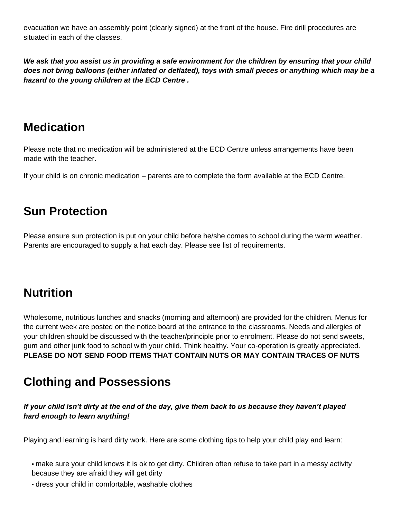evacuation we have an assembly point (clearly signed) at the front of the house. Fire drill procedures are situated in each of the classes.

*We ask that you assist us in providing a safe environment for the children by ensuring that your child does not bring balloons (either inflated or deflated), toys with small pieces or anything which may be a hazard to the young children at the ECD Centre .* 

## **Medication**

Please note that no medication will be administered at the ECD Centre unless arrangements have been made with the teacher.

If your child is on chronic medication – parents are to complete the form available at the ECD Centre.

## **Sun Protection**

Please ensure sun protection is put on your child before he/she comes to school during the warm weather. Parents are encouraged to supply a hat each day. Please see list of requirements.

# **Nutrition**

Wholesome, nutritious lunches and snacks (morning and afternoon) are provided for the children. Menus for the current week are posted on the notice board at the entrance to the classrooms. Needs and allergies of your children should be discussed with the teacher/principle prior to enrolment. Please do not send sweets, gum and other junk food to school with your child. Think healthy. Your co-operation is greatly appreciated. **PLEASE DO NOT SEND FOOD ITEMS THAT CONTAIN NUTS OR MAY CONTAIN TRACES OF NUTS** 

## **Clothing and Possessions**

#### *If your child isn't dirty at the end of the day, give them back to us because they haven't played hard enough to learn anything!*

Playing and learning is hard dirty work. Here are some clothing tips to help your child play and learn:

▪ make sure your child knows it is ok to get dirty. Children often refuse to take part in a messy activity because they are afraid they will get dirty

▪ dress your child in comfortable, washable clothes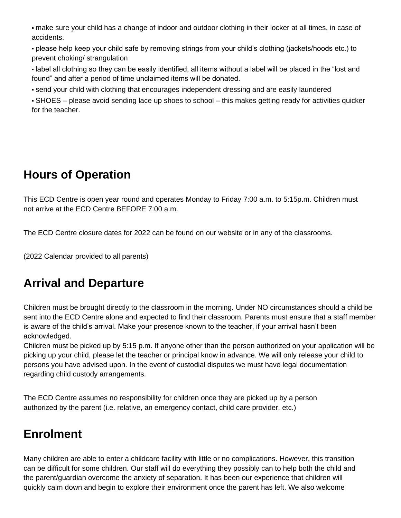▪ make sure your child has a change of indoor and outdoor clothing in their locker at all times, in case of accidents.

▪ please help keep your child safe by removing strings from your child's clothing (jackets/hoods etc.) to prevent choking/ strangulation

▪ label all clothing so they can be easily identified, all items without a label will be placed in the "lost and found" and after a period of time unclaimed items will be donated.

▪ send your child with clothing that encourages independent dressing and are easily laundered

▪ SHOES – please avoid sending lace up shoes to school – this makes getting ready for activities quicker for the teacher.

# **Hours of Operation**

This ECD Centre is open year round and operates Monday to Friday 7:00 a.m. to 5:15p.m. Children must not arrive at the ECD Centre BEFORE 7:00 a.m.

The ECD Centre closure dates for 2022 can be found on our website or in any of the classrooms.

(2022 Calendar provided to all parents)

# **Arrival and Departure**

Children must be brought directly to the classroom in the morning. Under NO circumstances should a child be sent into the ECD Centre alone and expected to find their classroom. Parents must ensure that a staff member is aware of the child's arrival. Make your presence known to the teacher, if your arrival hasn't been acknowledged.

Children must be picked up by 5:15 p.m. If anyone other than the person authorized on your application will be picking up your child, please let the teacher or principal know in advance. We will only release your child to persons you have advised upon. In the event of custodial disputes we must have legal documentation regarding child custody arrangements.

The ECD Centre assumes no responsibility for children once they are picked up by a person authorized by the parent (i.e. relative, an emergency contact, child care provider, etc.)

# **Enrolment**

Many children are able to enter a childcare facility with little or no complications. However, this transition can be difficult for some children. Our staff will do everything they possibly can to help both the child and the parent/guardian overcome the anxiety of separation. It has been our experience that children will quickly calm down and begin to explore their environment once the parent has left. We also welcome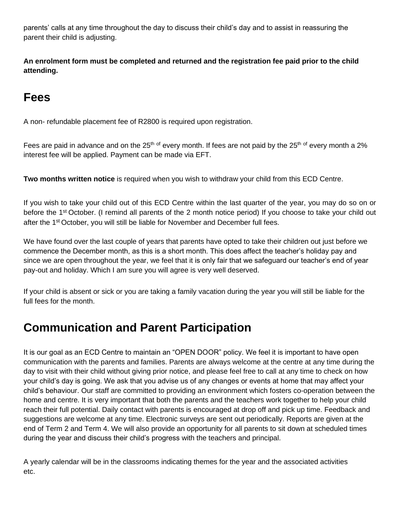parents' calls at any time throughout the day to discuss their child's day and to assist in reassuring the parent their child is adjusting.

**An enrolment form must be completed and returned and the registration fee paid prior to the child attending.** 

# **Fees**

A non- refundable placement fee of R2800 is required upon registration.

Fees are paid in advance and on the 25<sup>th of</sup> every month. If fees are not paid by the 25<sup>th of</sup> every month a 2% interest fee will be applied. Payment can be made via EFT.

**Two months written notice** is required when you wish to withdraw your child from this ECD Centre.

If you wish to take your child out of this ECD Centre within the last quarter of the year, you may do so on or before the 1<sup>st</sup> October. (I remind all parents of the 2 month notice period) If you choose to take your child out after the 1st October, you will still be liable for November and December full fees.

We have found over the last couple of years that parents have opted to take their children out just before we commence the December month, as this is a short month. This does affect the teacher's holiday pay and since we are open throughout the year, we feel that it is only fair that we safeguard our teacher's end of year pay-out and holiday. Which I am sure you will agree is very well deserved.

If your child is absent or sick or you are taking a family vacation during the year you will still be liable for the full fees for the month.

## **Communication and Parent Participation**

It is our goal as an ECD Centre to maintain an "OPEN DOOR" policy. We feel it is important to have open communication with the parents and families. Parents are always welcome at the centre at any time during the day to visit with their child without giving prior notice, and please feel free to call at any time to check on how your child's day is going. We ask that you advise us of any changes or events at home that may affect your child's behaviour. Our staff are committed to providing an environment which fosters co-operation between the home and centre. It is very important that both the parents and the teachers work together to help your child reach their full potential. Daily contact with parents is encouraged at drop off and pick up time. Feedback and suggestions are welcome at any time. Electronic surveys are sent out periodically. Reports are given at the end of Term 2 and Term 4. We will also provide an opportunity for all parents to sit down at scheduled times during the year and discuss their child's progress with the teachers and principal.

A yearly calendar will be in the classrooms indicating themes for the year and the associated activities etc.